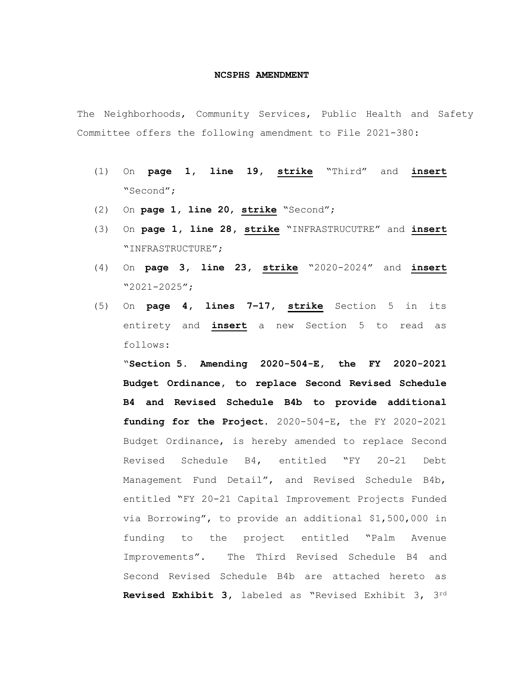## **NCSPHS AMENDMENT**

The Neighborhoods, Community Services, Public Health and Safety Committee offers the following amendment to File 2021-380:

- (1) On **page 1, line 19, strike** "Third" and **insert** "Second";
- (2) On **page 1, line 20**, **strike** "Second";
- (3) On **page 1, line 28, strike** "INFRASTRUCUTRE" and **insert** "INFRASTRUCTURE";
- (4) On **page 3, line 23, strike** "2020-2024" and **insert** "2021-2025";
- (5) On **page 4, lines 7–17, strike** Section 5 in its entirety and **insert** a new Section 5 to read as follows:

"**Section 5. Amending 2020-504-E, the FY 2020-2021 Budget Ordinance, to replace Second Revised Schedule B4 and Revised Schedule B4b to provide additional funding for the Project.** 2020-504-E, the FY 2020-2021 Budget Ordinance, is hereby amended to replace Second Revised Schedule B4, entitled "FY 20-21 Debt Management Fund Detail", and Revised Schedule B4b, entitled "FY 20-21 Capital Improvement Projects Funded via Borrowing", to provide an additional \$1,500,000 in funding to the project entitled "Palm Avenue Improvements". The Third Revised Schedule B4 and Second Revised Schedule B4b are attached hereto as **Revised Exhibit 3,** labeled as "Revised Exhibit 3, 3rd